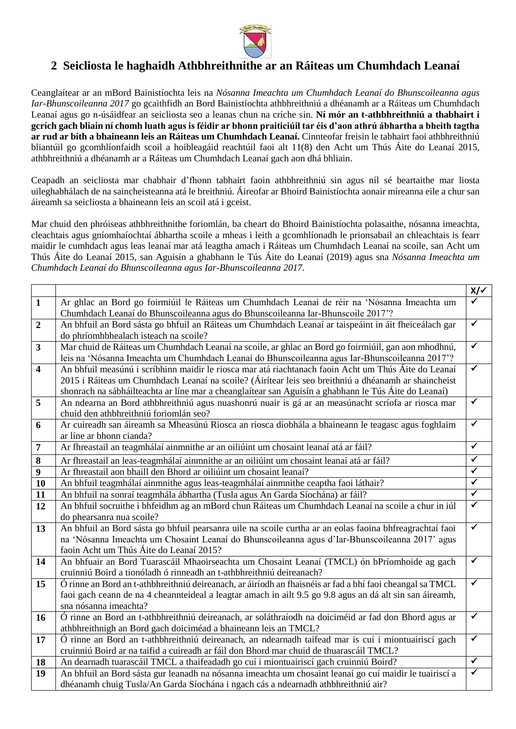

## **2 Seicliosta le haghaidh Athbhreithnithe ar an Ráiteas um Chumhdach Leanaí**

Ceanglaítear ar an mBord Bainistíochta leis na *Nósanna Imeachta um Chumhdach Leanaí do Bhunscoileanna agus Iar-Bhunscoileanna 2017* go gcaithfidh an Bord Bainistíochta athbhreithniú a dhéanamh ar a Ráiteas um Chumhdach Leanaí agus go n-úsáidfear an seicliosta seo a leanas chun na críche sin. **Ní mór an t-athbhreithniú a thabhairt i gcrích gach bliain ní chomh luath agus is féidir ar bhonn praiticiúil tar éis d'aon athrú ábhartha a bheith tagtha ar rud ar bith a bhaineann leis an Ráiteas um Chumhdach Leanaí.** Cinnteofar freisin le tabhairt faoi athbhreithniú bliantúil go gcomhlíonfaidh scoil a hoibleagáid reachtúil faoi alt 11(8) den Acht um Thús Áite do Leanaí 2015, athbhreithniú a dhéanamh ar a Ráiteas um Chumhdach Leanaí gach aon dhá bhliain.

Ceapadh an seicliosta mar chabhair d'fhonn tabhairt faoin athbhreithniú sin agus níl sé beartaithe mar liosta uileghabhálach de na saincheisteanna atá le breithniú. Áireofar ar Bhoird Bainistíochta aonair míreanna eile a chur san áireamh sa seicliosta a bhaineann leis an scoil atá i gceist.

Mar chuid den phróiseas athbhreithnithe foriomlán, ba cheart do Bhoird Bainistíochta polasaithe, nósanna imeachta, cleachtais agus gníomhaíochtaí ábhartha scoile a mheas i leith a gcomhlíonadh le prionsabail an chleachtais is fearr maidir le cumhdach agus leas leanaí mar atá leagtha amach i Ráiteas um Chumhdach Leanaí na scoile, san Acht um Thús Áite do Leanaí 2015, san Aguisín a ghabhann le Tús Áite do Leanaí (2019) agus sna *Nósanna Imeachta um Chumhdach Leanaí do Bhunscoileanna agus Iar-Bhunscoileanna 2017.*

|                         |                                                                                                           | $x/\checkmark$          |
|-------------------------|-----------------------------------------------------------------------------------------------------------|-------------------------|
| $\mathbf{1}$            | Ar ghlac an Bord go foirmiúil le Ráiteas um Chumhdach Leanaí de réir na 'Nósanna Imeachta um              |                         |
|                         | Chumhdach Leanaí do Bhunscoileanna agus do Bhunscoileanna Iar-Bhunscoile 2017'?                           |                         |
| $\boldsymbol{2}$        | An bhfuil an Bord sásta go bhfuil an Ráiteas um Chumhdach Leanaí ar taispeáint in áit fheiceálach gar     | $\overline{\checkmark}$ |
|                         | do phríomhbhealach isteach na scoile?                                                                     |                         |
| $\overline{\mathbf{3}}$ | Mar chuid de Ráiteas um Chumhdach Leanaí na scoile, ar ghlac an Bord go foirmiúil, gan aon mhodhnú,       | $\overline{\checkmark}$ |
|                         | leis na 'Nósanna Imeachta um Chumhdach Leanaí do Bhunscoileanna agus Iar-Bhunscoileanna 2017'?            |                         |
| $\overline{\mathbf{4}}$ | An bhfuil measúnú i scríbhinn maidir le riosca mar atá riachtanach faoin Acht um Thús Áite do Leanaí      | $\checkmark$            |
|                         | 2015 i Ráiteas um Chumhdach Leanaí na scoile? (Áirítear leis seo breithniú a dhéanamh ar shaincheist      |                         |
|                         | shonrach na sábháilteachta ar líne mar a cheanglaítear san Aguisín a ghabhann le Tús Áite do Leanaí)      |                         |
| 5                       | An ndearna an Bord athbhreithniú agus nuashonrú nuair is gá ar an measúnacht scríofa ar riosca mar        | $\checkmark$            |
|                         | chuid den athbhreithniú foriomlán seo?                                                                    |                         |
| 6                       | Ar cuireadh san áireamh sa Mheasúnú Riosca an riosca díobhála a bhaineann le teagasc agus foghlaim        | $\blacktriangledown$    |
|                         | ar líne ar bhonn cianda?                                                                                  |                         |
| $\overline{7}$          | Ar fhreastail an teagmhálaí ainmnithe ar an oiliúint um chosaint leanaí atá ar fáil?                      | $\overline{\checkmark}$ |
| $\bf{8}$                | Ar fhreastail an leas-teagmhálaí ainmnithe ar an oiliúint um chosaint leanaí atá ar fáil?                 | $\checkmark$            |
| 9                       | Ar fhreastail aon bhaill den Bhord ar oiliúint um chosaint leanaí?                                        | $\checkmark$            |
| 10                      | An bhfuil teagmhálaí ainmnithe agus leas-teagmhálaí ainmnithe ceaptha faoi láthair?                       | ✓                       |
| 11                      | An bhfuil na sonraí teagmhála ábhartha (Tusla agus An Garda Síochána) ar fáil?                            | $\blacktriangledown$    |
| 12                      | An bhfuil socruithe i bhfeidhm ag an mBord chun Ráiteas um Chumhdach Leanaí na scoile a chur in iúl       | $\checkmark$            |
|                         | do phearsanra nua scoile?                                                                                 |                         |
| 13                      | An bhfuil an Bord sásta go bhfuil pearsanra uile na scoile curtha ar an eolas faoina bhfreagrachtaí faoi  | $\blacktriangledown$    |
|                         | na 'Nósanna Imeachta um Chosaint Leanaí do Bhunscoileanna agus d'Iar-Bhunscoileanna 2017' agus            |                         |
|                         | faoin Acht um Thús Áite do Leanaí 2015?                                                                   |                         |
| 14                      | An bhfuair an Bord Tuarascáil Mhaoirseachta um Chosaint Leanaí (TMCL) ón bPríomhoide ag gach              | $\blacktriangledown$    |
|                         | cruinniú Boird a tionóladh ó rinneadh an t-athbhreithniú deireanach?                                      |                         |
| 15                      | Ó rinne an Bord an t-athbhreithniú deireanach, ar áiríodh an fhaisnéis ar fad a bhí faoi cheangal sa TMCL | $\checkmark$            |
|                         | faoi gach ceann de na 4 cheannteideal a leagtar amach in ailt 9.5 go 9.8 agus an dá alt sin san áireamh,  |                         |
|                         | sna nósanna imeachta?                                                                                     |                         |
| 16                      | Ó rinne an Bord an t-athbhreithniú deireanach, ar soláthraíodh na doiciméid ar fad don Bhord agus ar      | $\checkmark$            |
|                         | athbhreithnigh an Bord gach doiciméad a bhaineann leis an TMCL?                                           |                         |
| 17                      | Ó rinne an Bord an t-athbhreithniú deireanach, an ndearnadh taifead mar is cuí i miontuairiscí gach       | $\checkmark$            |
|                         | cruinniú Boird ar na taifid a cuireadh ar fáil don Bhord mar chuid de thuarascáil TMCL?                   |                         |
| 18                      | An dearnadh tuarascáil TMCL a thaifeadadh go cuí i miontuairiscí gach cruinniú Boird?                     | $\overline{\checkmark}$ |
| 19                      | An bhfuil an Bord sásta gur leanadh na nósanna imeachta um chosaint leanaí go cuí maidir le tuairiscí a   | $\checkmark$            |
|                         | dhéanamh chuig Tusla/An Garda Síochána i ngach cás a ndearnadh athbhreithniú air?                         |                         |